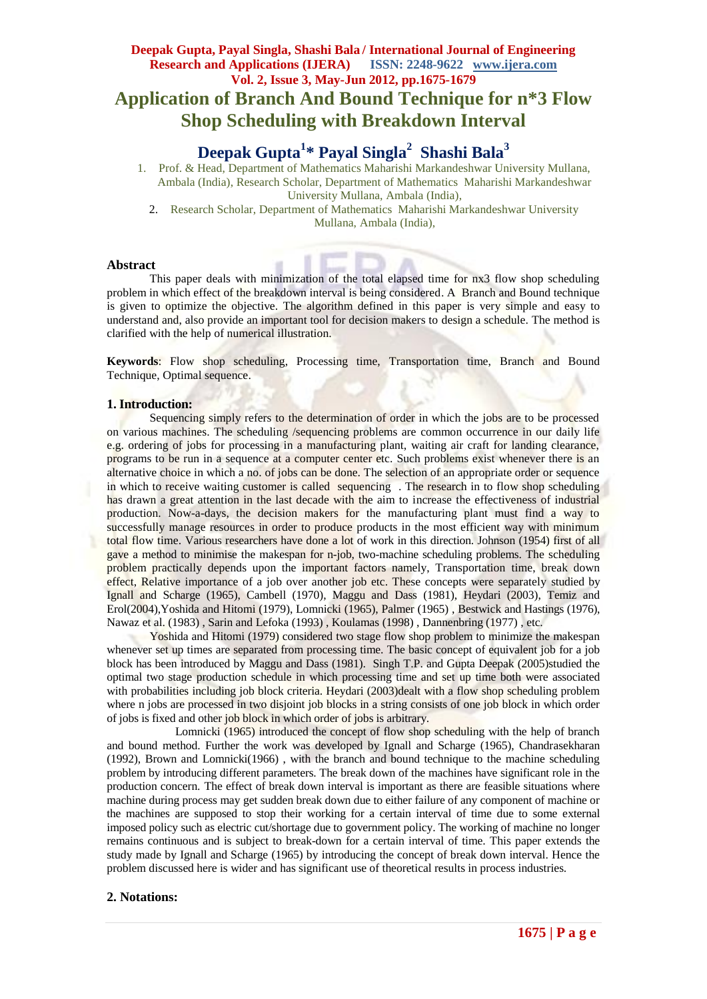# **Deepak Gupta, Payal Singla, Shashi Bala / International Journal of Engineering Research and Applications (IJERA) ISSN: 2248-9622 www.ijera.com Vol. 2, Issue 3, May-Jun 2012, pp.1675-1679 Application of Branch And Bound Technique for n\*3 Flow Shop Scheduling with Breakdown Interval**

# **Deepak Gupta<sup>1</sup> \* Payal Singla<sup>2</sup> Shashi Bala<sup>3</sup>**

1. Prof. & Head, Department of Mathematics Maharishi Markandeshwar University Mullana, Ambala (India), Research Scholar, Department of Mathematics Maharishi Markandeshwar University Mullana, Ambala (India),

2. Research Scholar, Department of Mathematics Maharishi Markandeshwar University Mullana, Ambala (India),

#### **Abstract**

This paper deals with minimization of the total elapsed time for nx3 flow shop scheduling problem in which effect of the breakdown interval is being considered. A Branch and Bound technique is given to optimize the objective. The algorithm defined in this paper is very simple and easy to understand and, also provide an important tool for decision makers to design a schedule. The method is clarified with the help of numerical illustration.

**Keywords**: Flow shop scheduling, Processing time, Transportation time, Branch and Bound Technique, Optimal sequence.

#### **1. Introduction:**

Sequencing simply refers to the determination of order in which the jobs are to be processed on various machines. The scheduling /sequencing problems are common occurrence in our daily life e.g. ordering of jobs for processing in a manufacturing plant, waiting air craft for landing clearance, programs to be run in a sequence at a computer center etc. Such problems exist whenever there is an alternative choice in which a no. of jobs can be done. The selection of an appropriate order or sequence in which to receive waiting customer is called sequencing. The research in to flow shop scheduling has drawn a great attention in the last decade with the aim to increase the effectiveness of industrial production. Now-a-days, the decision makers for the manufacturing plant must find a way to successfully manage resources in order to produce products in the most efficient way with minimum total flow time. Various researchers have done a lot of work in this direction. Johnson (1954) first of all gave a method to minimise the makespan for n-job, two-machine scheduling problems. The scheduling problem practically depends upon the important factors namely, Transportation time, break down effect, Relative importance of a job over another job etc. These concepts were separately studied by Ignall and Scharge (1965), Cambell (1970), Maggu and Dass (1981), Heydari (2003), Temiz and Erol(2004),Yoshida and Hitomi (1979), Lomnicki (1965), Palmer (1965) , Bestwick and Hastings (1976), Nawaz et al. (1983) , Sarin and Lefoka (1993) , Koulamas (1998) , Dannenbring (1977) , etc.

Yoshida and Hitomi (1979) considered two stage flow shop problem to minimize the makespan whenever set up times are separated from processing time. The basic concept of equivalent job for a job block has been introduced by Maggu and Dass (1981). Singh T.P. and Gupta Deepak (2005)studied the optimal two stage production schedule in which processing time and set up time both were associated with probabilities including job block criteria. Heydari (2003)dealt with a flow shop scheduling problem where n jobs are processed in two disjoint job blocks in a string consists of one job block in which order of jobs is fixed and other job block in which order of jobs is arbitrary.

 Lomnicki (1965) introduced the concept of flow shop scheduling with the help of branch and bound method. Further the work was developed by Ignall and Scharge (1965), Chandrasekharan (1992), Brown and Lomnicki(1966) , with the branch and bound technique to the machine scheduling problem by introducing different parameters. The break down of the machines have significant role in the production concern. The effect of break down interval is important as there are feasible situations where machine during process may get sudden break down due to either failure of any component of machine or the machines are supposed to stop their working for a certain interval of time due to some external imposed policy such as electric cut/shortage due to government policy. The working of machine no longer remains continuous and is subject to break-down for a certain interval of time. This paper extends the study made by Ignall and Scharge (1965) by introducing the concept of break down interval. Hence the problem discussed here is wider and has significant use of theoretical results in process industries.

### **2. Notations:**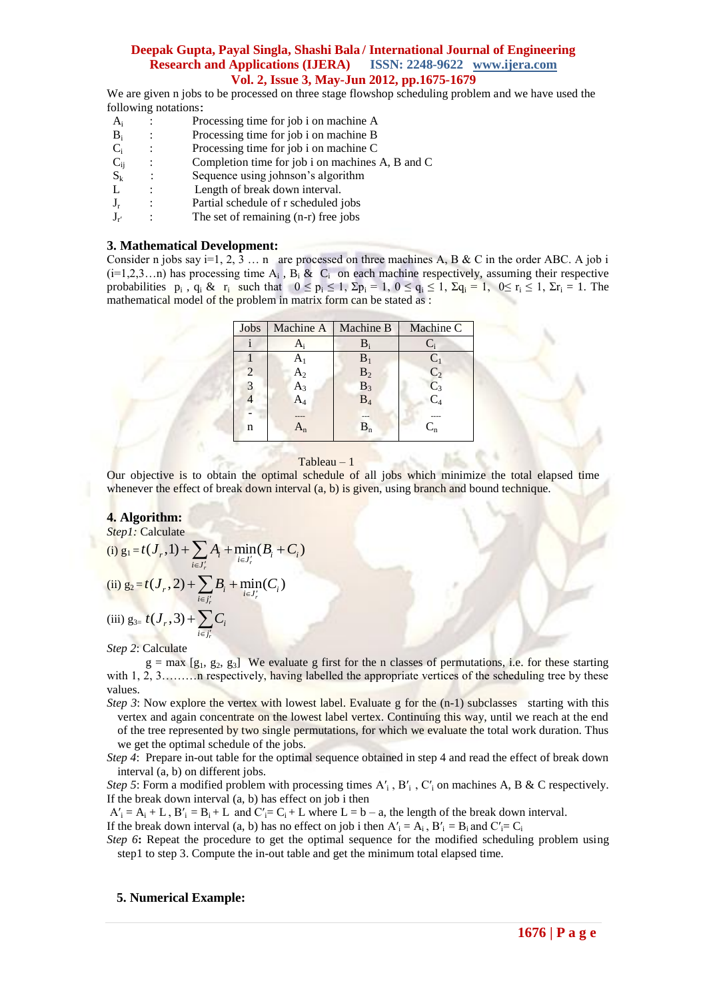We are given n jobs to be processed on three stage flowshop scheduling problem and we have used the following notations:

- $A_i$ : Processing time for job i on machine A
- $B_i$ : Processing time for job i on machine B
- : Processing time for job i on machine C
- $\begin{array}{c} C_i \\ C_{ij} \end{array}$ : Completion time for job i on machines A, B and C
- $\mathbf{S}_k$  L : Sequence using johnson's algorithm
- Length of break down interval.
- $J_r$ : Partial schedule of r scheduled jobs
- $J_{r'}$  : The set of remaining (n-r) free jobs

#### **3. Mathematical Development:**

Consider n jobs say i=1, 2, 3 ... n are processed on three machines A, B & C in the order ABC. A job i  $(i=1,2,3...n)$  has processing time  $A_i$ ,  $B_i \& C_i$  on each machine respectively, assuming their respective probabilities  $p_i$ ,  $q_i \& r_i$  such that  $0 \leq p_i \leq 1$ ,  $\Sigma p_i = 1$ ,  $0 \leq q_i \leq 1$ ,  $\Sigma q_i = 1$ ,  $0 \leq r_i \leq 1$ ,  $\Sigma r_i = 1$ . The mathematical model of the problem in matrix form can be stated as :

|                |                           | Machine C                      |
|----------------|---------------------------|--------------------------------|
|                |                           |                                |
| A1             | $B_1$                     | $C_1$                          |
| $\mathrm{A}_2$ |                           | $\overline{C}_2$               |
| A3             | $B_3$                     | $C_3$                          |
|                | $B_4$                     | $\overline{\text{C}}_{4}$      |
|                | ---                       |                                |
|                | $\mathbf{B}_{\mathbf{n}}$ | $C_{n}$                        |
|                |                           | Machine A   Machine B<br>$B_2$ |

#### Tableau – 1

Our objective is to obtain the optimal schedule of all jobs which minimize the total elapsed time whenever the effect of break down interval  $(a, b)$  is given, using branch and bound technique.

#### **4. Algorithm:**

*Step1:* Calculate

Step 1: Calculate  
\n(i) 
$$
g_1 = t(J_r, 1) + \sum_{i \in J'_r} A_i + \min_{i \in J'_r} (B_i + C_i)
$$
  
\n(ii)  $g_2 = t(J_r, 2) + \sum_{i \in J'_r} B_i + \min_{i \in J'_r} (C_i)$ 

(iii)  $g_{3} = t(J_r, 3) + \sum C_i$ *r*  $i \in j$  $\in j'$  $+\sum$ 

#### *Step 2*: Calculate

 $g = max [g<sub>1</sub>, g<sub>2</sub>, g<sub>3</sub>]$  We evaluate g first for the n classes of permutations, i.e. for these starting with 1, 2, 3………n respectively, having labelled the appropriate vertices of the scheduling tree by these values.

*Step 3*: Now explore the vertex with lowest label. Evaluate g for the  $(n-1)$  subclasses starting with this vertex and again concentrate on the lowest label vertex. Continuing this way, until we reach at the end of the tree represented by two single permutations, for which we evaluate the total work duration. Thus we get the optimal schedule of the jobs.

*Step 4*: Prepare in-out table for the optimal sequence obtained in step 4 and read the effect of break down interval (a, b) on different jobs.

*Step 5*: Form a modified problem with processing times  $A'_i$ ,  $B'_i$ ,  $C'_i$  on machines A, B & C respectively. If the break down interval (a, b) has effect on job i then

 $A'_{i} = A_{i} + L$ ,  $B'_{i} = B_{i} + L$  and  $C'_{i} = C_{i} + L$  where  $L = b - a$ , the length of the break down interval.

If the break down interval (a, b) has no effect on job i then  $A' = A_i$ ,  $B' = B_i$  and  $C' = C_i$ 

*Step 6***:** Repeat the procedure to get the optimal sequence for the modified scheduling problem using step1 to step 3. Compute the in-out table and get the minimum total elapsed time.

#### **5. Numerical Example:**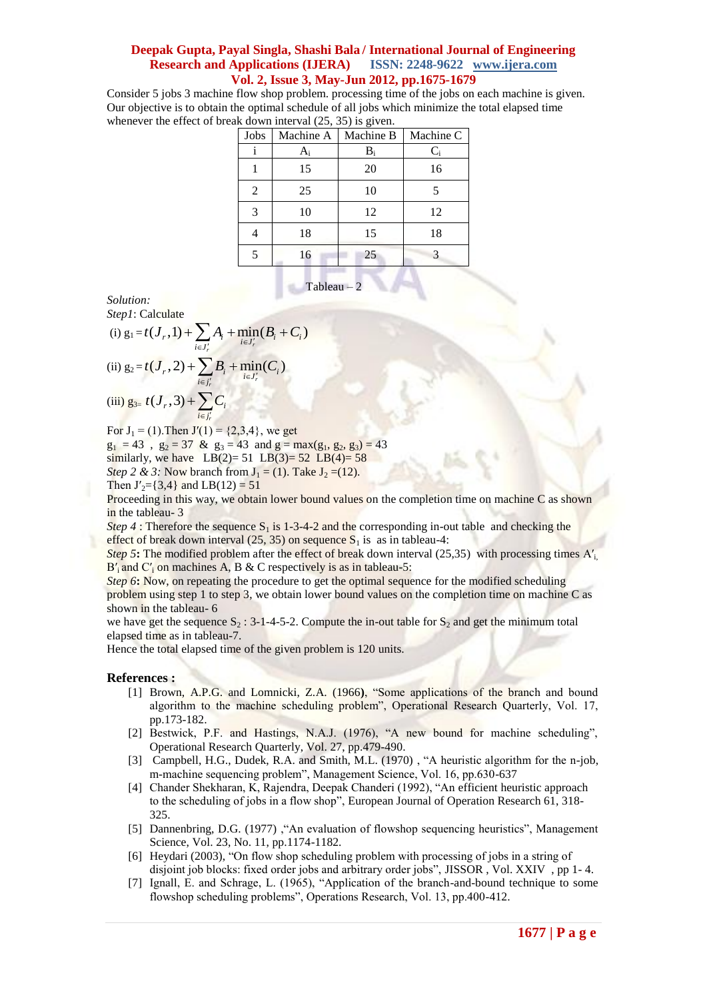Consider 5 jobs 3 machine flow shop problem. processing time of the jobs on each machine is given. Our objective is to obtain the optimal schedule of all jobs which minimize the total elapsed time whenever the effect of break down interval  $(25, 35)$  is given.

| Jobs           | Machine A | Machine B | Machine C |
|----------------|-----------|-----------|-----------|
| 1              | $A_i$     | $B_i$     | $C_i$     |
|                | 15        | 20        | 16        |
| $\overline{2}$ | 25        | 10        | 5         |
| 3              | 10        | 12        | 12        |
|                | 18        | 15        | 18        |
| 5              | 16        | 25        |           |
|                |           |           |           |

Tableau – 2

*Solution: Step1*: Calculate

Step1: Calculate  
\n(i) 
$$
g_1 = t(J_r, 1) + \sum_{i \in J'_r} A_i + \min_{i \in J'_r} (B_i + C_i)
$$
  
\n(ii)  $g_2 = t(J_r, 2) + \sum_{i \in J'_r} B_i + \min_{i \in J'_r} (C_i)$ 

(iii) 
$$
g_{3} = t(J_r, 3) + \sum_{i \in J'_r} C_i
$$

For  $J_1 = (1)$ . Then  $J'(1) = \{2,3,4\}$ , we get

 $g_1 = 43$ ,  $g_2 = 37$  &  $g_3 = 43$  and  $g = max(g_1, g_2, g_3) = 43$ similarly, we have LB(2)= 51 LB(3)=  $52$  LB(4)=  $58$ *Step 2 & 3:* Now branch from  $J_1 = (1)$ . Take  $J_2 = (12)$ . Then  $J'_2$ ={3,4} and LB(12) = 51

Proceeding in this way, we obtain lower bound values on the completion time on machine C as shown in the tableau- 3

*Step 4* : Therefore the sequence  $S_1$  is 1-3-4-2 and the corresponding in-out table and checking the effect of break down interval (25, 35) on sequence  $S_1$  is as in tableau-4:

*Step 5***:** The modified problem after the effect of break down interval (25,35) with processing times  $A'$ <sub>i</sub>,  $B'$ <sub>i</sub> and  $C'$ <sub>i</sub> on machines A, B & C respectively is as in tableau-5:

*Step 6***:** Now, on repeating the procedure to get the optimal sequence for the modified scheduling problem using step 1 to step 3, we obtain lower bound values on the completion time on machine C as shown in the tableau- 6

we have get the sequence  $S_2$ : 3-1-4-5-2. Compute the in-out table for  $S_2$  and get the minimum total elapsed time as in tableau-7.

Hence the total elapsed time of the given problem is 120 units.

#### **References :**

- [1] Brown, A.P.G. and Lomnicki, Z.A. (1966**)**, "Some applications of the branch and bound algorithm to the machine scheduling problem", Operational Research Quarterly, Vol. 17, pp.173-182.
- [2] Bestwick, P.F. and Hastings, N.A.J. (1976), "A new bound for machine scheduling", Operational Research Quarterly, Vol. 27, pp.479-490.
- [3] Campbell, H.G., Dudek, R.A. and Smith, M.L. (1970), "A heuristic algorithm for the n-job, m-machine sequencing problem", Management Science, Vol. 16, pp.630-637
- [4] Chander Shekharan, K, Rajendra, Deepak Chanderi (1992), "An efficient heuristic approach to the scheduling of jobs in a flow shop", European Journal of Operation Research 61, 318- 325.
- [5] Dannenbring, D.G. (1977) ,"An evaluation of flowshop sequencing heuristics", Management Science, Vol. 23, No. 11, pp.1174-1182.
- [6] Heydari (2003), "On flow shop scheduling problem with processing of jobs in a string of disjoint job blocks: fixed order jobs and arbitrary order jobs", JISSOR , Vol. XXIV , pp 1- 4.
- [7] Ignall, E. and Schrage, L. (1965), "Application of the branch-and-bound technique to some flowshop scheduling problems", Operations Research, Vol. 13, pp.400-412.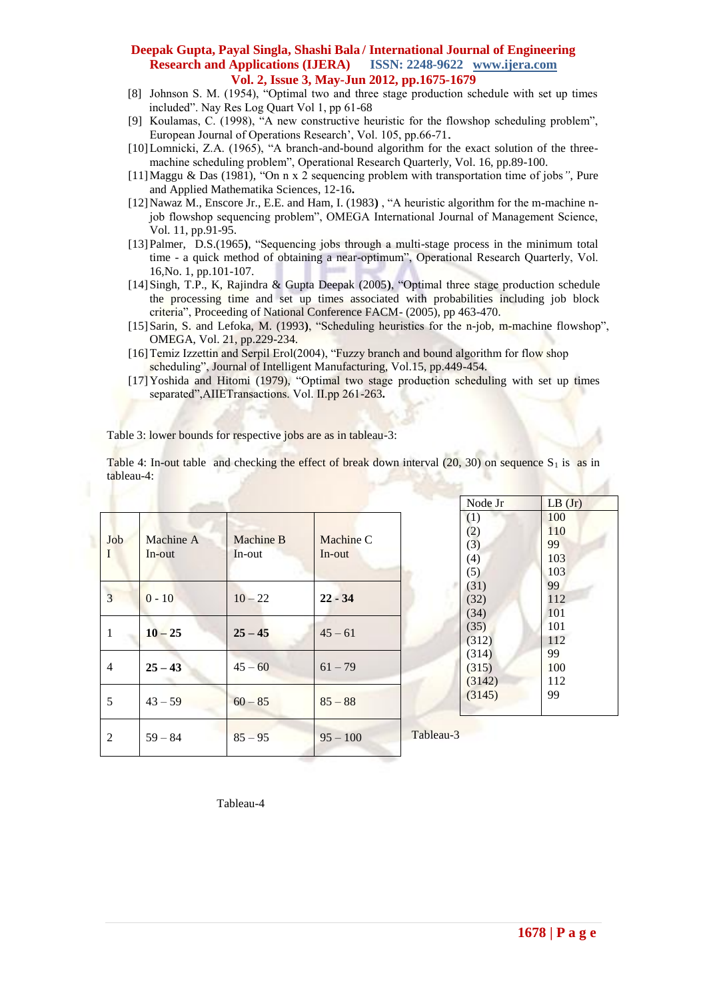- [8] Johnson S. M. (1954), "Optimal two and three stage production schedule with set up times included". Nay Res Log Quart Vol 1, pp 61-68
- [9] Koulamas, C. (1998), "A new constructive heuristic for the flowshop scheduling problem", European Journal of Operations Research', Vol. 105, pp.66-71.
- [10] Lomnicki, Z.A. (1965), "A branch-and-bound algorithm for the exact solution of the threemachine scheduling problem", Operational Research Quarterly, Vol. 16, pp.89-100.
- [11]Maggu & Das (1981), "On n x 2 sequencing problem with transportation time of jobs*"*, Pure and Applied Mathematika Sciences, 12-16**.**
- [12]Nawaz M., Enscore Jr., E.E. and Ham, I. (1983**)** , "A heuristic algorithm for the m-machine njob flowshop sequencing problem", OMEGA International Journal of Management Science, Vol. 11, pp.91-95.
- [13]Palmer, D.S.(1965**)**, "Sequencing jobs through a multi-stage process in the minimum total time - a quick method of obtaining a near-optimum", Operational Research Quarterly, Vol. 16,No. 1, pp.101-107.
- [14]Singh, T.P., K, Rajindra & Gupta Deepak (2005**)**, "Optimal three stage production schedule the processing time and set up times associated with probabilities including job block criteria", Proceeding of National Conference FACM- (2005), pp 463-470.
- [15]Sarin, S. and Lefoka, M. (1993**)**, "Scheduling heuristics for the n-job, m-machine flowshop", OMEGA, Vol. 21, pp.229-234.
- [16]Temiz Izzettin and Serpil Erol(2004), "Fuzzy branch and bound algorithm for flow shop scheduling", Journal of Intelligent Manufacturing, Vol.15, pp.449-454.
- [17]Yoshida and Hitomi (1979), "Optimal two stage production scheduling with set up times separated",AIIETransactions. Vol. II.pp 261-263**.**

Table 3: lower bounds for respective jobs are as in tableau-3:

Table 4: In-out table and checking the effect of break down interval (20, 30) on sequence  $S_1$  is as in tableau-4:

|                |                     |                     |                     |                                                     | Node Jr                         | LB(Jr)                         |
|----------------|---------------------|---------------------|---------------------|-----------------------------------------------------|---------------------------------|--------------------------------|
| Job<br>I       | Machine A<br>In-out | Machine B<br>In-out | Machine C<br>In-out |                                                     | (1)<br>(2)<br>(3)<br>(4)<br>(5) | 100<br>110<br>99<br>103<br>103 |
| $\overline{3}$ | $0 - 10$            | $10 - 22$           | $22 - 34$           |                                                     | (31)<br>(32)<br>(34)            | 99<br>112<br>101               |
| 1              | $10 - 25$           | $25 - 45$           | $45 - 61$           | (35)<br>(312)<br>(314)<br>(315)<br>(3142)<br>(3145) | 101<br>112                      |                                |
| $\overline{4}$ | $25 - 43$           | $45 - 60$           | $61 - 79$           |                                                     | 99<br>100<br>112                |                                |
| 5              | $43 - 59$           | $60 - 85$           | $85 - 88$           |                                                     | 99                              |                                |
| 2              | $59 - 84$           | $85 - 95$           | $95 - 100$          | Tableau-3                                           |                                 |                                |

Tableau-4